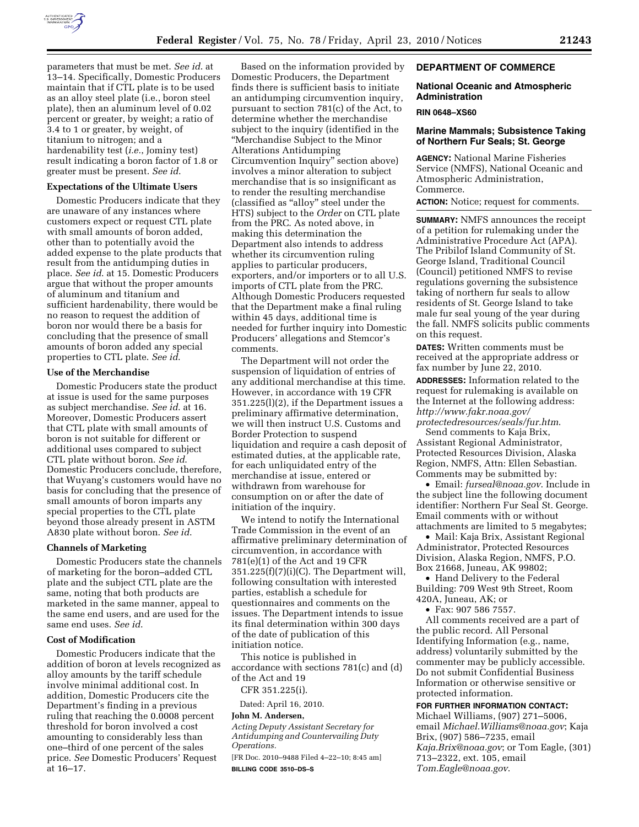

parameters that must be met. *See id*. at 13–14. Specifically, Domestic Producers maintain that if CTL plate is to be used as an alloy steel plate (i.e., boron steel plate), then an aluminum level of 0.02 percent or greater, by weight; a ratio of 3.4 to 1 or greater, by weight, of titanium to nitrogen; and a hardenability test (*i.e.*, Jominy test) result indicating a boron factor of 1.8 or greater must be present. *See id*.

### **Expectations of the Ultimate Users**

Domestic Producers indicate that they are unaware of any instances where customers expect or request CTL plate with small amounts of boron added, other than to potentially avoid the added expense to the plate products that result from the antidumping duties in place. *See id*. at 15. Domestic Producers argue that without the proper amounts of aluminum and titanium and sufficient hardenability, there would be no reason to request the addition of boron nor would there be a basis for concluding that the presence of small amounts of boron added any special properties to CTL plate. *See id*.

#### **Use of the Merchandise**

Domestic Producers state the product at issue is used for the same purposes as subject merchandise. *See id*. at 16. Moreover, Domestic Producers assert that CTL plate with small amounts of boron is not suitable for different or additional uses compared to subject CTL plate without boron. *See id*. Domestic Producers conclude, therefore, that Wuyang's customers would have no basis for concluding that the presence of small amounts of boron imparts any special properties to the CTL plate beyond those already present in ASTM A830 plate without boron. *See id*.

#### **Channels of Marketing**

Domestic Producers state the channels of marketing for the boron–added CTL plate and the subject CTL plate are the same, noting that both products are marketed in the same manner, appeal to the same end users, and are used for the same end uses. *See id*.

### **Cost of Modification**

Domestic Producers indicate that the addition of boron at levels recognized as alloy amounts by the tariff schedule involve minimal additional cost. In addition, Domestic Producers cite the Department's finding in a previous ruling that reaching the 0.0008 percent threshold for boron involved a cost amounting to considerably less than one–third of one percent of the sales price. *See* Domestic Producers' Request at 16–17.

Based on the information provided by Domestic Producers, the Department finds there is sufficient basis to initiate an antidumping circumvention inquiry, pursuant to section 781(c) of the Act, to determine whether the merchandise subject to the inquiry (identified in the ''Merchandise Subject to the Minor Alterations Antidumping Circumvention Inquiry'' section above) involves a minor alteration to subject merchandise that is so insignificant as to render the resulting merchandise (classified as ''alloy'' steel under the HTS) subject to the *Order* on CTL plate from the PRC. As noted above, in making this determination the Department also intends to address whether its circumvention ruling applies to particular producers, exporters, and/or importers or to all U.S. imports of CTL plate from the PRC. Although Domestic Producers requested that the Department make a final ruling within 45 days, additional time is needed for further inquiry into Domestic Producers' allegations and Stemcor's comments.

The Department will not order the suspension of liquidation of entries of any additional merchandise at this time. However, in accordance with 19 CFR 351.225(l)(2), if the Department issues a preliminary affirmative determination, we will then instruct U.S. Customs and Border Protection to suspend liquidation and require a cash deposit of estimated duties, at the applicable rate, for each unliquidated entry of the merchandise at issue, entered or withdrawn from warehouse for consumption on or after the date of initiation of the inquiry.

We intend to notify the International Trade Commission in the event of an affirmative preliminary determination of circumvention, in accordance with 781(e)(1) of the Act and 19 CFR 351.225(f)(7)(i)(C). The Department will, following consultation with interested parties, establish a schedule for questionnaires and comments on the issues. The Department intends to issue its final determination within 300 days of the date of publication of this initiation notice.

This notice is published in accordance with sections 781(c) and (d) of the Act and 19

CFR 351.225(i).

Dated: April 16, 2010.

#### **John M. Andersen,**

*Acting Deputy Assistant Secretary for Antidumping and Countervailing Duty Operations.* 

[FR Doc. 2010–9488 Filed 4–22–10; 8:45 am] **BILLING CODE 3510–DS–S** 

# **DEPARTMENT OF COMMERCE**

### **National Oceanic and Atmospheric Administration**

#### **RIN 0648–XS60**

# **Marine Mammals; Subsistence Taking of Northern Fur Seals; St. George**

**AGENCY:** National Marine Fisheries Service (NMFS), National Oceanic and Atmospheric Administration, Commerce.

**ACTION:** Notice; request for comments.

**SUMMARY:** NMFS announces the receipt of a petition for rulemaking under the Administrative Procedure Act (APA). The Pribilof Island Community of St. George Island, Traditional Council (Council) petitioned NMFS to revise regulations governing the subsistence taking of northern fur seals to allow residents of St. George Island to take male fur seal young of the year during the fall. NMFS solicits public comments on this request.

**DATES:** Written comments must be received at the appropriate address or fax number by June 22, 2010.

**ADDRESSES:** Information related to the request for rulemaking is available on the Internet at the following address: *http://www.fakr.noaa.gov/ protectedresources/seals/fur.htm*.

Send comments to Kaja Brix, Assistant Regional Administrator, Protected Resources Division, Alaska Region, NMFS, Attn: Ellen Sebastian. Comments may be submitted by:

• Email: *furseal@noaa.gov*. Include in the subject line the following document identifier: Northern Fur Seal St. George. Email comments with or without attachments are limited to 5 megabytes;

• Mail: Kaja Brix, Assistant Regional Administrator, Protected Resources Division, Alaska Region, NMFS, P.O. Box 21668, Juneau, AK 99802;

• Hand Delivery to the Federal Building: 709 West 9th Street, Room 420A, Juneau, AK; or

• Fax: 907 586 7557.

All comments received are a part of the public record. All Personal Identifying Information (e.g., name, address) voluntarily submitted by the commenter may be publicly accessible. Do not submit Confidential Business Information or otherwise sensitive or protected information.

## **FOR FURTHER INFORMATION CONTACT:**

Michael Williams, (907) 271–5006, email *Michael.Williams@noaa.gov*; Kaja Brix, (907) 586–7235, email *Kaja.Brix@noaa.gov*; or Tom Eagle, (301) 713–2322, ext. 105, email *Tom.Eagle@noaa.gov*.